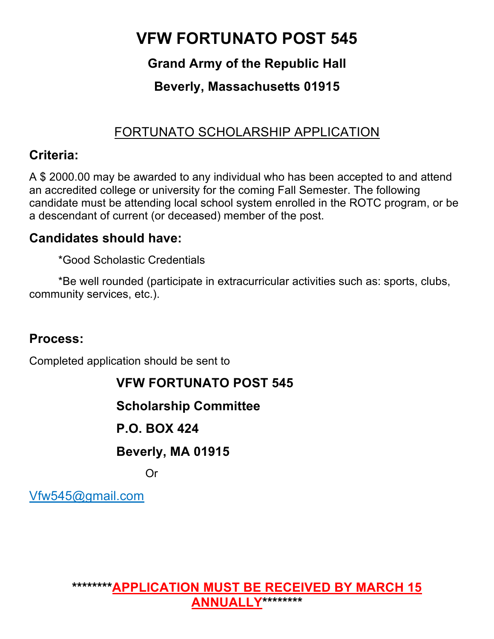# **VFW FORTUNATO POST 545**

### **Grand Army of the Republic Hall**

### **Beverly, Massachusetts 01915**

### FORTUNATO SCHOLARSHIP APPLICATION

#### **Criteria:**

A \$ 2000.00 may be awarded to any individual who has been accepted to and attend an accredited college or university for the coming Fall Semester. The following candidate must be attending local school system enrolled in the ROTC program, or be a descendant of current (or deceased) member of the post.

#### **Candidates should have:**

\*Good Scholastic Credentials

\*Be well rounded (participate in extracurricular activities such as: sports, clubs, community services, etc.).

#### **Process:**

Completed application should be sent to

### **VFW FORTUNATO POST 545**

**Scholarship Committee**

### **P.O. BOX 424**

#### **Beverly, MA 01915**

Or

Vfw545@gmail.com